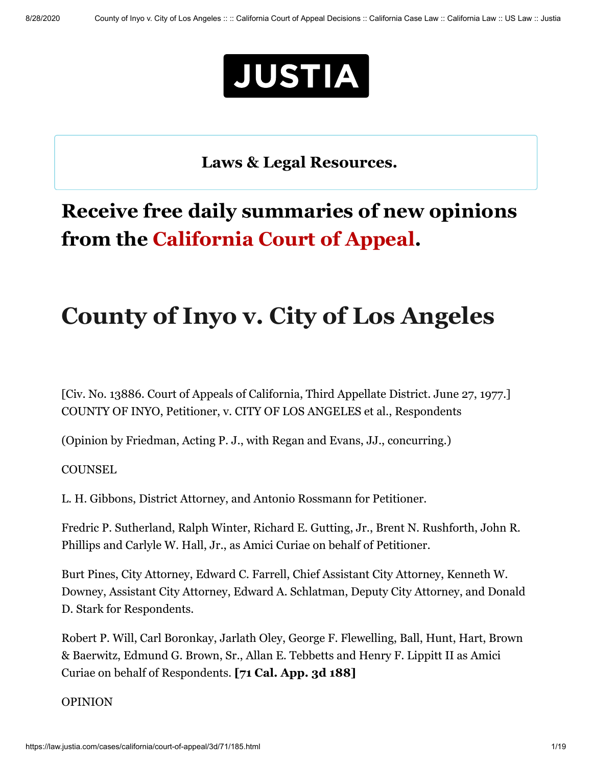

**[Laws & Legal Resources.](https://www.justia.com/covid-19/)** L \_j

## **Receive free daily summaries of new opinions from the California Court of Appeal.**

# **County of Inyo v. City of Los Angeles**

[Civ. No. 13886. Court of Appeals of California, Third Appellate District. June 27, 1977.] COUNTY OF INYO, Petitioner, v. CITY OF LOS ANGELES et al., Respondents

(Opinion by Friedman, Acting P. J., with Regan and Evans, JJ., concurring.)

**COUNSEL** 

L. H. Gibbons, District Attorney, and Antonio Rossmann for Petitioner.

Fredric P. Sutherland, Ralph Winter, Richard E. Gutting, Jr., Brent N. Rushforth, John R. Phillips and Carlyle W. Hall, Jr., as Amici Curiae on behalf of Petitioner.

Burt Pines, City Attorney, Edward C. Farrell, Chief Assistant City Attorney, Kenneth W. Downey, Assistant City Attorney, Edward A. Schlatman, Deputy City Attorney, and Donald D. Stark for Respondents.

Robert P. Will, Carl Boronkay, Jarlath Oley, George F. Flewelling, Ball, Hunt, Hart, Brown & Baerwitz, Edmund G. Brown, Sr., Allan E. Tebbetts and Henry F. Lippitt II as Amici Curiae on behalf of Respondents. **[71 Cal. App. 3d 188]**

#### OPINION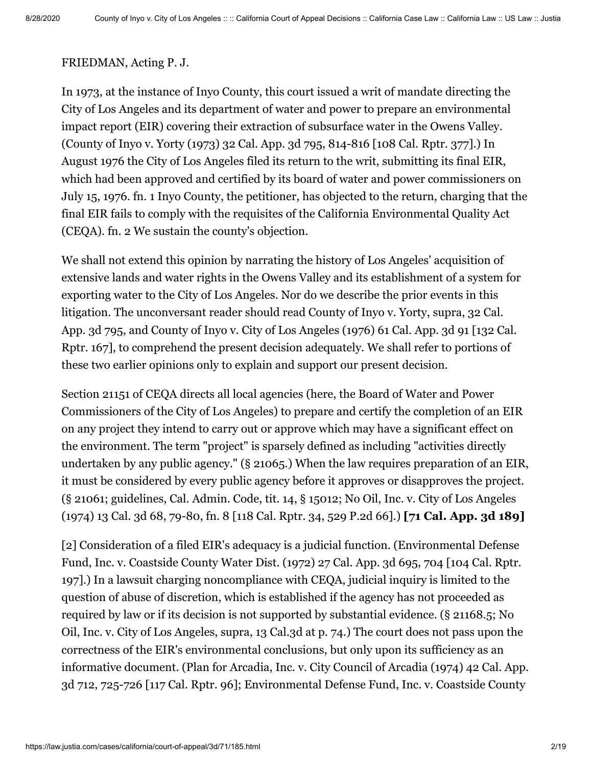#### FRIEDMAN, Acting P. J.

In 1973, at the instance of Inyo County, this court issued a writ of mandate directing the City of Los Angeles and its department of water and power to prepare an environmental impact report (EIR) covering their extraction of subsurface water in the Owens Valley. (County of Inyo v. Yorty (1973) [32 Cal. App. 3d 795,](https://law.justia.com/cases/california/court-of-appeal/3d/32/795.html) 814-816 [108 Cal. Rptr. 377].) In August 1976 the City of Los Angeles filed its return to the writ, submitting its final EIR, which had been approved and certified by its board of water and power commissioners on July 15, 1976. fn. 1 Inyo County, the petitioner, has objected to the return, charging that the final EIR fails to comply with the requisites of the California Environmental Quality Act (CEQA). fn. 2 We sustain the county's objection.

We shall not extend this opinion by narrating the history of Los Angeles' acquisition of extensive lands and water rights in the Owens Valley and its establishment of a system for exporting water to the City of Los Angeles. Nor do we describe the prior events in this litigation. The unconversant reader should read County of Inyo v. Yorty, supra, 32 Cal. [App. 3d 795, and County of Inyo v. City of Los Angeles \(1976\) 61 Cal. App. 3d 91 \[132 C](https://law.justia.com/cases/california/court-of-appeal/3d/32/795.html)al. Rptr. 167], to comprehend the present decision adequately. We shall refer to portions of these two earlier opinions only to explain and support our present decision.

Section 21151 of CEQA directs all local agencies (here, the Board of Water and Power Commissioners of the City of Los Angeles) to prepare and certify the completion of an EIR on any project they intend to carry out or approve which may have a significant effect on the environment. The term "project" is sparsely defined as including "activities directly undertaken by any public agency." (§ 21065.) When the law requires preparation of an EIR, it must be considered by every public agency before it approves or disapproves the project. (§ 21061; guidelines, Cal. Admin. Code, tit. 14, § 15012; No Oil, Inc. v. City of Los Angeles (1974) [13 Cal. 3d 68,](https://law.justia.com/cases/california/supreme-court/3d/13/68.html) 79-80, fn. 8 [118 Cal. Rptr. 34, 529 P.2d 66].) **[71 Cal. App. 3d 189]**

[2] Consideration of a filed EIR's adequacy is a judicial function. (Environmental Defense Fund, Inc. v. Coastside County Water Dist. (1972) [27 Cal. App. 3d 695](https://law.justia.com/cases/california/court-of-appeal/3d/27/695.html), 704 [104 Cal. Rptr. 197].) In a lawsuit charging noncompliance with CEQA, judicial inquiry is limited to the question of abuse of discretion, which is established if the agency has not proceeded as required by law or if its decision is not supported by substantial evidence. (§ 21168.5; No Oil, Inc. v. City of Los Angeles, supra, 13 Cal.3d at p. 74.) The court does not pass upon the correctness of the EIR's environmental conclusions, but only upon its sufficiency as an [informative document. \(Plan for Arcadia, Inc. v. City Council of Arcadia \(1974\) 42 Cal. App.](https://law.justia.com/cases/california/court-of-appeal/3d/42/712.html) 3d 712, 725-726 [117 Cal. Rptr. 96]; Environmental Defense Fund, Inc. v. Coastside County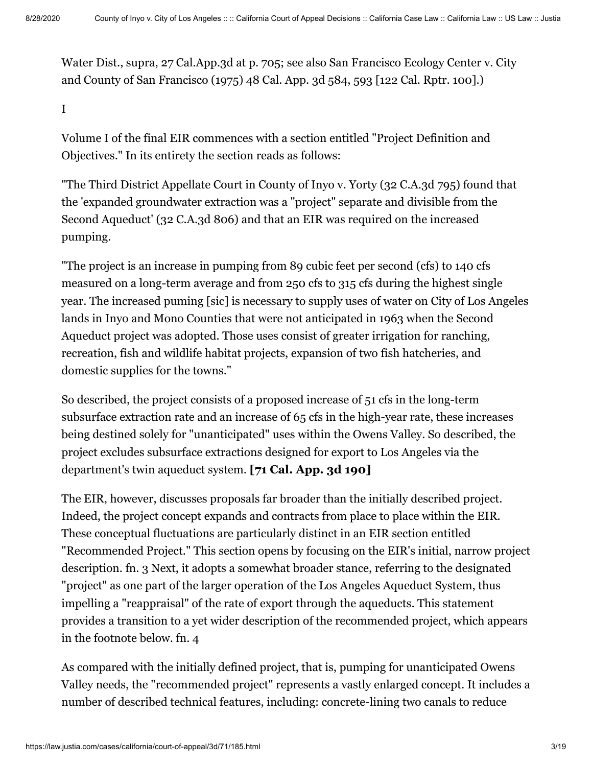Water Dist., supra, 27 Cal.App.3d at p. 705; see also San Francisco Ecology Center v. City and County of San Francisco (1975) [48 Cal. App. 3d 584,](https://law.justia.com/cases/california/court-of-appeal/3d/48/584.html) 593 [122 Cal. Rptr. 100].)

I

Volume I of the final EIR commences with a section entitled "Project Definition and Objectives." In its entirety the section reads as follows:

"The Third District Appellate Court in County of Inyo v. Yorty (32 C.A.3d 795) found that the 'expanded groundwater extraction was a "project" separate and divisible from the Second Aqueduct' (32 C.A.3d 806) and that an EIR was required on the increased pumping.

"The project is an increase in pumping from 89 cubic feet per second (cfs) to 140 cfs measured on a long-term average and from 250 cfs to 315 cfs during the highest single year. The increased puming [sic] is necessary to supply uses of water on City of Los Angeles lands in Inyo and Mono Counties that were not anticipated in 1963 when the Second Aqueduct project was adopted. Those uses consist of greater irrigation for ranching, recreation, fish and wildlife habitat projects, expansion of two fish hatcheries, and domestic supplies for the towns."

So described, the project consists of a proposed increase of 51 cfs in the long-term subsurface extraction rate and an increase of 65 cfs in the high-year rate, these increases being destined solely for "unanticipated" uses within the Owens Valley. So described, the project excludes subsurface extractions designed for export to Los Angeles via the department's twin aqueduct system. **[71 Cal. App. 3d 190]**

The EIR, however, discusses proposals far broader than the initially described project. Indeed, the project concept expands and contracts from place to place within the EIR. These conceptual fluctuations are particularly distinct in an EIR section entitled "Recommended Project." This section opens by focusing on the EIR's initial, narrow project description. fn. 3 Next, it adopts a somewhat broader stance, referring to the designated "project" as one part of the larger operation of the Los Angeles Aqueduct System, thus impelling a "reappraisal" of the rate of export through the aqueducts. This statement provides a transition to a yet wider description of the recommended project, which appears in the footnote below. fn. 4

As compared with the initially defined project, that is, pumping for unanticipated Owens Valley needs, the "recommended project" represents a vastly enlarged concept. It includes a number of described technical features, including: concrete-lining two canals to reduce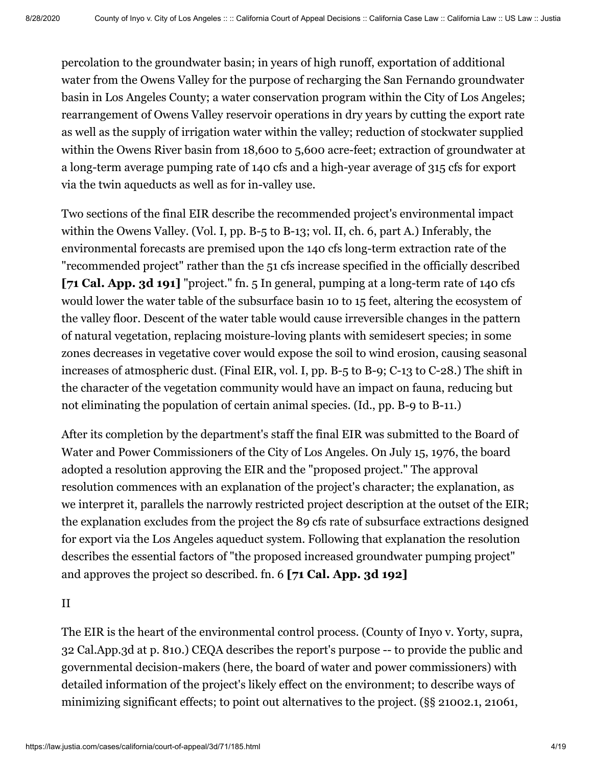percolation to the groundwater basin; in years of high runoff, exportation of additional water from the Owens Valley for the purpose of recharging the San Fernando groundwater basin in Los Angeles County; a water conservation program within the City of Los Angeles; rearrangement of Owens Valley reservoir operations in dry years by cutting the export rate as well as the supply of irrigation water within the valley; reduction of stockwater supplied within the Owens River basin from 18,600 to 5,600 acre-feet; extraction of groundwater at a long-term average pumping rate of 140 cfs and a high-year average of 315 cfs for export via the twin aqueducts as well as for in-valley use.

Two sections of the final EIR describe the recommended project's environmental impact within the Owens Valley. (Vol. I, pp. B-5 to B-13; vol. II, ch. 6, part A.) Inferably, the environmental forecasts are premised upon the 140 cfs long-term extraction rate of the "recommended project" rather than the 51 cfs increase specified in the officially described **[71 Cal. App. 3d 191]** "project." fn. 5 In general, pumping at a long-term rate of 140 cfs would lower the water table of the subsurface basin 10 to 15 feet, altering the ecosystem of the valley floor. Descent of the water table would cause irreversible changes in the pattern of natural vegetation, replacing moisture-loving plants with semidesert species; in some zones decreases in vegetative cover would expose the soil to wind erosion, causing seasonal increases of atmospheric dust. (Final EIR, vol. I, pp. B-5 to B-9; C-13 to C-28.) The shift in the character of the vegetation community would have an impact on fauna, reducing but not eliminating the population of certain animal species. (Id., pp. B-9 to B-11.)

After its completion by the department's staff the final EIR was submitted to the Board of Water and Power Commissioners of the City of Los Angeles. On July 15, 1976, the board adopted a resolution approving the EIR and the "proposed project." The approval resolution commences with an explanation of the project's character; the explanation, as we interpret it, parallels the narrowly restricted project description at the outset of the EIR; the explanation excludes from the project the 89 cfs rate of subsurface extractions designed for export via the Los Angeles aqueduct system. Following that explanation the resolution describes the essential factors of "the proposed increased groundwater pumping project" and approves the project so described. fn. 6 **[71 Cal. App. 3d 192]**

II

The EIR is the heart of the environmental control process. (County of Inyo v. Yorty, supra, 32 Cal.App.3d at p. 810.) CEQA describes the report's purpose -- to provide the public and governmental decision-makers (here, the board of water and power commissioners) with detailed information of the project's likely effect on the environment; to describe ways of minimizing significant effects; to point out alternatives to the project. (§§ 21002.1, 21061,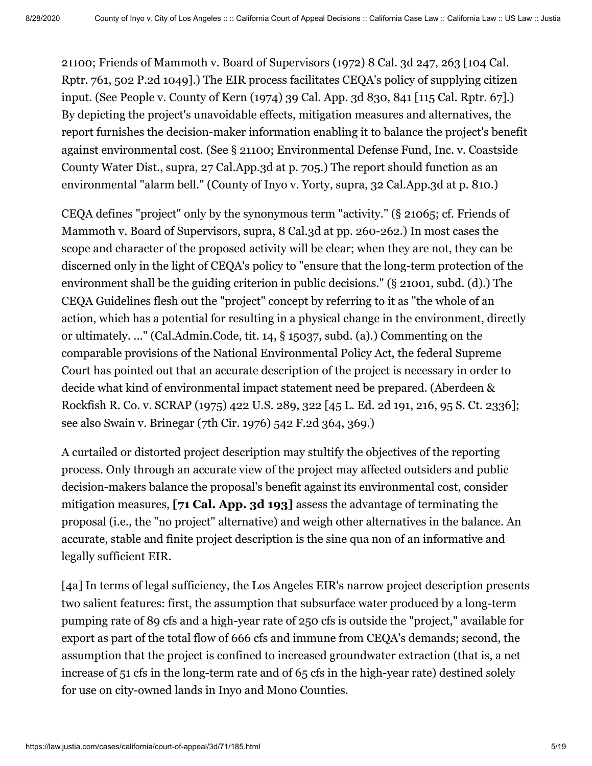21100; Friends of Mammoth v. Board of Supervisors (1972) [8 Cal. 3d 247](https://law.justia.com/cases/california/supreme-court/3d/8/247.html), 263 [104 Cal. Rptr. 761, 502 P.2d 1049].) The EIR process facilitates CEQA's policy of supplying citizen input. (See People v. County of Kern (1974) [39 Cal. App. 3d 830,](https://law.justia.com/cases/california/court-of-appeal/3d/39/830.html) 841 [115 Cal. Rptr. 67].) By depicting the project's unavoidable effects, mitigation measures and alternatives, the report furnishes the decision-maker information enabling it to balance the project's benefit against environmental cost. (See § 21100; Environmental Defense Fund, Inc. v. Coastside County Water Dist., supra, 27 Cal.App.3d at p. 705.) The report should function as an environmental "alarm bell." (County of Inyo v. Yorty, supra, 32 Cal.App.3d at p. 810.)

CEQA defines "project" only by the synonymous term "activity." (§ 21065; cf. Friends of Mammoth v. Board of Supervisors, supra, 8 Cal.3d at pp. 260-262.) In most cases the scope and character of the proposed activity will be clear; when they are not, they can be discerned only in the light of CEQA's policy to "ensure that the long-term protection of the environment shall be the guiding criterion in public decisions." (§ 21001, subd. (d).) The CEQA Guidelines flesh out the "project" concept by referring to it as "the whole of an action, which has a potential for resulting in a physical change in the environment, directly or ultimately. ..." (Cal.Admin.Code, tit. 14, § 15037, subd. (a).) Commenting on the comparable provisions of the National Environmental Policy Act, the federal Supreme Court has pointed out that an accurate description of the project is necessary in order to decide what kind of environmental impact statement need be prepared. (Aberdeen & Rockfish R. Co. v. SCRAP (1975) [422 U.S. 289](https://supreme.justia.com/cases/federal/us/422/289/), 322 [45 L. Ed. 2d 191, 216, 95 S. Ct. 2336]; see also Swain v. Brinegar (7th Cir. 1976) 542 F.2d 364, 369.)

A curtailed or distorted project description may stultify the objectives of the reporting process. Only through an accurate view of the project may affected outsiders and public decision-makers balance the proposal's benefit against its environmental cost, consider mitigation measures, **[71 Cal. App. 3d 193]** assess the advantage of terminating the proposal (i.e., the "no project" alternative) and weigh other alternatives in the balance. An accurate, stable and finite project description is the sine qua non of an informative and legally sufficient EIR.

[4a] In terms of legal sufficiency, the Los Angeles EIR's narrow project description presents two salient features: first, the assumption that subsurface water produced by a long-term pumping rate of 89 cfs and a high-year rate of 250 cfs is outside the "project," available for export as part of the total flow of 666 cfs and immune from CEQA's demands; second, the assumption that the project is confined to increased groundwater extraction (that is, a net increase of 51 cfs in the long-term rate and of 65 cfs in the high-year rate) destined solely for use on city-owned lands in Inyo and Mono Counties.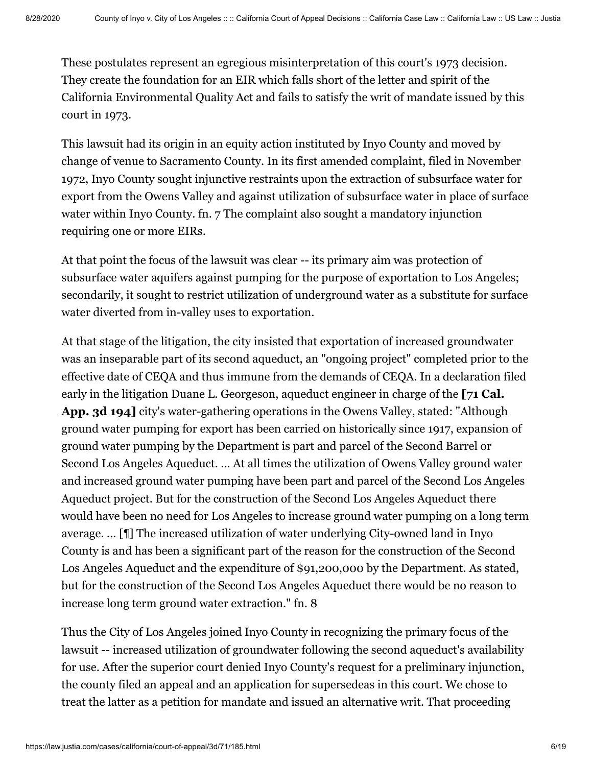These postulates represent an egregious misinterpretation of this court's 1973 decision. They create the foundation for an EIR which falls short of the letter and spirit of the California Environmental Quality Act and fails to satisfy the writ of mandate issued by this court in 1973.

This lawsuit had its origin in an equity action instituted by Inyo County and moved by change of venue to Sacramento County. In its first amended complaint, filed in November 1972, Inyo County sought injunctive restraints upon the extraction of subsurface water for export from the Owens Valley and against utilization of subsurface water in place of surface water within Inyo County. fn. 7 The complaint also sought a mandatory injunction requiring one or more EIRs.

At that point the focus of the lawsuit was clear -- its primary aim was protection of subsurface water aquifers against pumping for the purpose of exportation to Los Angeles; secondarily, it sought to restrict utilization of underground water as a substitute for surface water diverted from in-valley uses to exportation.

At that stage of the litigation, the city insisted that exportation of increased groundwater was an inseparable part of its second aqueduct, an "ongoing project" completed prior to the effective date of CEQA and thus immune from the demands of CEQA. In a declaration filed early in the litigation Duane L. Georgeson, aqueduct engineer in charge of the **[71 Cal. App. 3d 194]** city's water-gathering operations in the Owens Valley, stated: "Although ground water pumping for export has been carried on historically since 1917, expansion of ground water pumping by the Department is part and parcel of the Second Barrel or Second Los Angeles Aqueduct. ... At all times the utilization of Owens Valley ground water and increased ground water pumping have been part and parcel of the Second Los Angeles Aqueduct project. But for the construction of the Second Los Angeles Aqueduct there would have been no need for Los Angeles to increase ground water pumping on a long term average. ... [¶] The increased utilization of water underlying City-owned land in Inyo County is and has been a significant part of the reason for the construction of the Second Los Angeles Aqueduct and the expenditure of \$91,200,000 by the Department. As stated, but for the construction of the Second Los Angeles Aqueduct there would be no reason to increase long term ground water extraction." fn. 8

Thus the City of Los Angeles joined Inyo County in recognizing the primary focus of the lawsuit -- increased utilization of groundwater following the second aqueduct's availability for use. After the superior court denied Inyo County's request for a preliminary injunction, the county filed an appeal and an application for supersedeas in this court. We chose to treat the latter as a petition for mandate and issued an alternative writ. That proceeding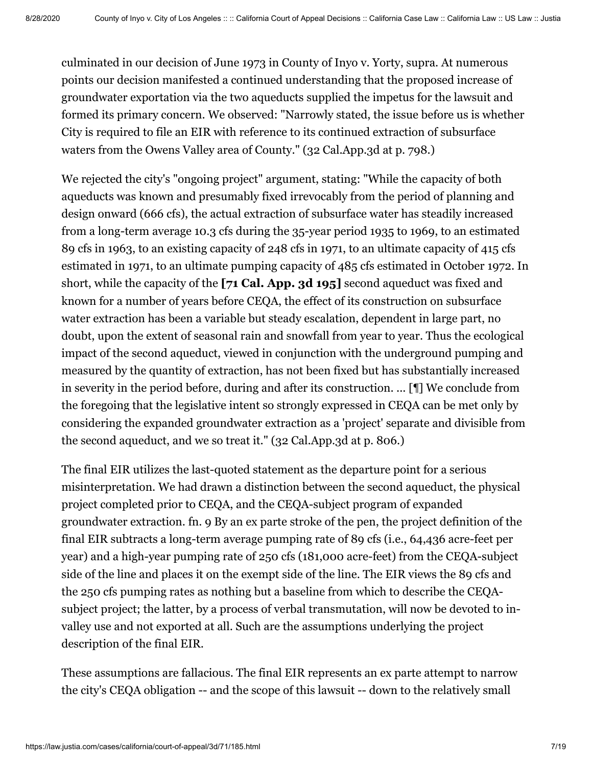culminated in our decision of June 1973 in County of Inyo v. Yorty, supra. At numerous points our decision manifested a continued understanding that the proposed increase of groundwater exportation via the two aqueducts supplied the impetus for the lawsuit and formed its primary concern. We observed: "Narrowly stated, the issue before us is whether City is required to file an EIR with reference to its continued extraction of subsurface waters from the Owens Valley area of County." (32 Cal.App.3d at p. 798.)

We rejected the city's "ongoing project" argument, stating: "While the capacity of both aqueducts was known and presumably fixed irrevocably from the period of planning and design onward (666 cfs), the actual extraction of subsurface water has steadily increased from a long-term average 10.3 cfs during the 35-year period 1935 to 1969, to an estimated 89 cfs in 1963, to an existing capacity of 248 cfs in 1971, to an ultimate capacity of 415 cfs estimated in 1971, to an ultimate pumping capacity of 485 cfs estimated in October 1972. In short, while the capacity of the **[71 Cal. App. 3d 195]** second aqueduct was fixed and known for a number of years before CEQA, the effect of its construction on subsurface water extraction has been a variable but steady escalation, dependent in large part, no doubt, upon the extent of seasonal rain and snowfall from year to year. Thus the ecological impact of the second aqueduct, viewed in conjunction with the underground pumping and measured by the quantity of extraction, has not been fixed but has substantially increased in severity in the period before, during and after its construction. ... [¶] We conclude from the foregoing that the legislative intent so strongly expressed in CEQA can be met only by considering the expanded groundwater extraction as a 'project' separate and divisible from the second aqueduct, and we so treat it." (32 Cal.App.3d at p. 806.)

The final EIR utilizes the last-quoted statement as the departure point for a serious misinterpretation. We had drawn a distinction between the second aqueduct, the physical project completed prior to CEQA, and the CEQA-subject program of expanded groundwater extraction. fn. 9 By an ex parte stroke of the pen, the project definition of the final EIR subtracts a long-term average pumping rate of 89 cfs (i.e., 64,436 acre-feet per year) and a high-year pumping rate of 250 cfs (181,000 acre-feet) from the CEQA-subject side of the line and places it on the exempt side of the line. The EIR views the 89 cfs and the 250 cfs pumping rates as nothing but a baseline from which to describe the CEQAsubject project; the latter, by a process of verbal transmutation, will now be devoted to invalley use and not exported at all. Such are the assumptions underlying the project description of the final EIR.

These assumptions are fallacious. The final EIR represents an ex parte attempt to narrow the city's CEQA obligation -- and the scope of this lawsuit -- down to the relatively small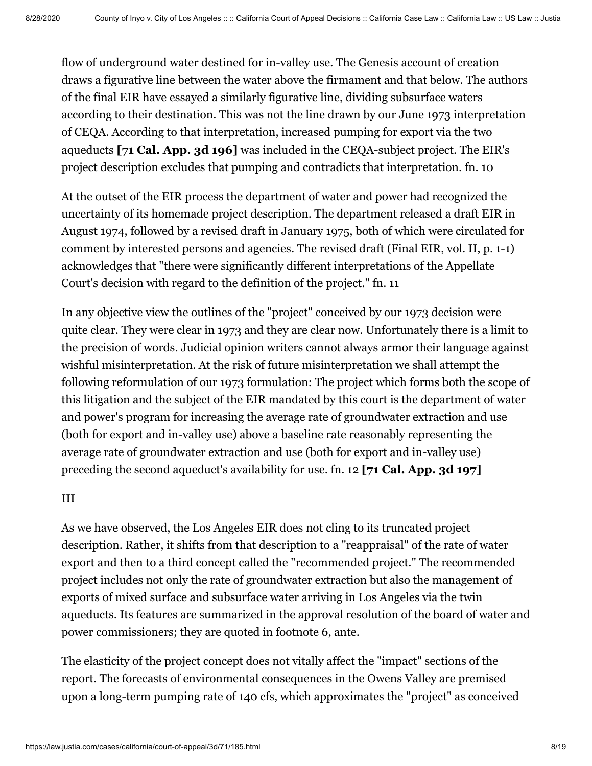flow of underground water destined for in-valley use. The Genesis account of creation draws a figurative line between the water above the firmament and that below. The authors of the final EIR have essayed a similarly figurative line, dividing subsurface waters according to their destination. This was not the line drawn by our June 1973 interpretation of CEQA. According to that interpretation, increased pumping for export via the two aqueducts **[71 Cal. App. 3d 196]** was included in the CEQA-subject project. The EIR's project description excludes that pumping and contradicts that interpretation. fn. 10

At the outset of the EIR process the department of water and power had recognized the uncertainty of its homemade project description. The department released a draft EIR in August 1974, followed by a revised draft in January 1975, both of which were circulated for comment by interested persons and agencies. The revised draft (Final EIR, vol. II, p. 1-1) acknowledges that "there were significantly different interpretations of the Appellate Court's decision with regard to the definition of the project." fn. 11

In any objective view the outlines of the "project" conceived by our 1973 decision were quite clear. They were clear in 1973 and they are clear now. Unfortunately there is a limit to the precision of words. Judicial opinion writers cannot always armor their language against wishful misinterpretation. At the risk of future misinterpretation we shall attempt the following reformulation of our 1973 formulation: The project which forms both the scope of this litigation and the subject of the EIR mandated by this court is the department of water and power's program for increasing the average rate of groundwater extraction and use (both for export and in-valley use) above a baseline rate reasonably representing the average rate of groundwater extraction and use (both for export and in-valley use) preceding the second aqueduct's availability for use. fn. 12 **[71 Cal. App. 3d 197]**

#### III

As we have observed, the Los Angeles EIR does not cling to its truncated project description. Rather, it shifts from that description to a "reappraisal" of the rate of water export and then to a third concept called the "recommended project." The recommended project includes not only the rate of groundwater extraction but also the management of exports of mixed surface and subsurface water arriving in Los Angeles via the twin aqueducts. Its features are summarized in the approval resolution of the board of water and power commissioners; they are quoted in footnote 6, ante.

The elasticity of the project concept does not vitally affect the "impact" sections of the report. The forecasts of environmental consequences in the Owens Valley are premised upon a long-term pumping rate of 140 cfs, which approximates the "project" as conceived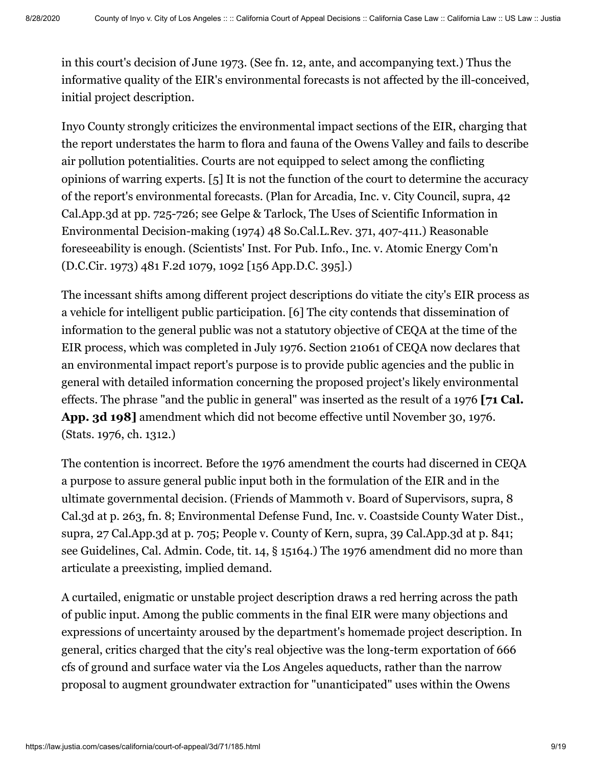in this court's decision of June 1973. (See fn. 12, ante, and accompanying text.) Thus the informative quality of the EIR's environmental forecasts is not affected by the ill-conceived, initial project description.

Inyo County strongly criticizes the environmental impact sections of the EIR, charging that the report understates the harm to flora and fauna of the Owens Valley and fails to describe air pollution potentialities. Courts are not equipped to select among the conflicting opinions of warring experts. [5] It is not the function of the court to determine the accuracy of the report's environmental forecasts. (Plan for Arcadia, Inc. v. City Council, supra, 42 Cal.App.3d at pp. 725-726; see Gelpe & Tarlock, The Uses of Scientific Information in Environmental Decision-making (1974) 48 So.Cal.L.Rev. 371, 407-411.) Reasonable foreseeability is enough. (Scientists' Inst. For Pub. Info., Inc. v. Atomic Energy Com'n (D.C.Cir. 1973) 481 F.2d 1079, 1092 [156 App.D.C. 395].)

The incessant shifts among different project descriptions do vitiate the city's EIR process as a vehicle for intelligent public participation. [6] The city contends that dissemination of information to the general public was not a statutory objective of CEQA at the time of the EIR process, which was completed in July 1976. Section 21061 of CEQA now declares that an environmental impact report's purpose is to provide public agencies and the public in general with detailed information concerning the proposed project's likely environmental effects. The phrase "and the public in general" was inserted as the result of a 1976 **[71 Cal. App. 3d 198]** amendment which did not become effective until November 30, 1976. (Stats. 1976, ch. 1312.)

The contention is incorrect. Before the 1976 amendment the courts had discerned in CEQA a purpose to assure general public input both in the formulation of the EIR and in the ultimate governmental decision. (Friends of Mammoth v. Board of Supervisors, supra, 8 Cal.3d at p. 263, fn. 8; Environmental Defense Fund, Inc. v. Coastside County Water Dist., supra, 27 Cal.App.3d at p. 705; People v. County of Kern, supra, 39 Cal.App.3d at p. 841; see Guidelines, Cal. Admin. Code, tit. 14, § 15164.) The 1976 amendment did no more than articulate a preexisting, implied demand.

A curtailed, enigmatic or unstable project description draws a red herring across the path of public input. Among the public comments in the final EIR were many objections and expressions of uncertainty aroused by the department's homemade project description. In general, critics charged that the city's real objective was the long-term exportation of 666 cfs of ground and surface water via the Los Angeles aqueducts, rather than the narrow proposal to augment groundwater extraction for "unanticipated" uses within the Owens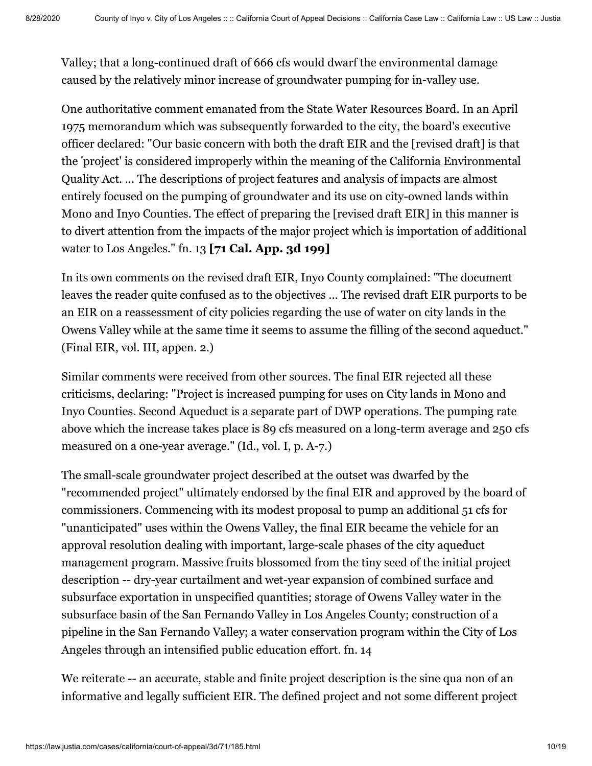Valley; that a long-continued draft of 666 cfs would dwarf the environmental damage caused by the relatively minor increase of groundwater pumping for in-valley use.

One authoritative comment emanated from the State Water Resources Board. In an April 1975 memorandum which was subsequently forwarded to the city, the board's executive officer declared: "Our basic concern with both the draft EIR and the [revised draft] is that the 'project' is considered improperly within the meaning of the California Environmental Quality Act. ... The descriptions of project features and analysis of impacts are almost entirely focused on the pumping of groundwater and its use on city-owned lands within Mono and Inyo Counties. The effect of preparing the [revised draft EIR] in this manner is to divert attention from the impacts of the major project which is importation of additional water to Los Angeles." fn. 13 **[71 Cal. App. 3d 199]**

In its own comments on the revised draft EIR, Inyo County complained: "The document leaves the reader quite confused as to the objectives ... The revised draft EIR purports to be an EIR on a reassessment of city policies regarding the use of water on city lands in the Owens Valley while at the same time it seems to assume the filling of the second aqueduct." (Final EIR, vol. III, appen. 2.)

Similar comments were received from other sources. The final EIR rejected all these criticisms, declaring: "Project is increased pumping for uses on City lands in Mono and Inyo Counties. Second Aqueduct is a separate part of DWP operations. The pumping rate above which the increase takes place is 89 cfs measured on a long-term average and 250 cfs measured on a one-year average." (Id., vol. I, p. A-7.)

The small-scale groundwater project described at the outset was dwarfed by the "recommended project" ultimately endorsed by the final EIR and approved by the board of commissioners. Commencing with its modest proposal to pump an additional 51 cfs for "unanticipated" uses within the Owens Valley, the final EIR became the vehicle for an approval resolution dealing with important, large-scale phases of the city aqueduct management program. Massive fruits blossomed from the tiny seed of the initial project description -- dry-year curtailment and wet-year expansion of combined surface and subsurface exportation in unspecified quantities; storage of Owens Valley water in the subsurface basin of the San Fernando Valley in Los Angeles County; construction of a pipeline in the San Fernando Valley; a water conservation program within the City of Los Angeles through an intensified public education effort. fn. 14

We reiterate -- an accurate, stable and finite project description is the sine qua non of an informative and legally sufficient EIR. The defined project and not some different project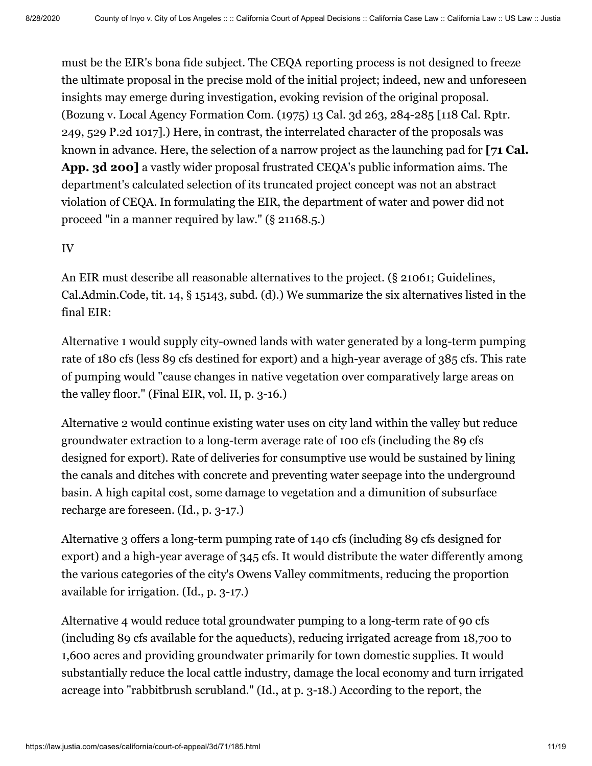must be the EIR's bona fide subject. The CEQA reporting process is not designed to freeze the ultimate proposal in the precise mold of the initial project; indeed, new and unforeseen insights may emerge during investigation, evoking revision of the original proposal. (Bozung v. Local Agency Formation Com. (1975) [13 Cal. 3d 263,](https://law.justia.com/cases/california/supreme-court/3d/13/263.html) 284-285 [118 Cal. Rptr. 249, 529 P.2d 1017].) Here, in contrast, the interrelated character of the proposals was known in advance. Here, the selection of a narrow project as the launching pad for **[71 Cal. App. 3d 200]** a vastly wider proposal frustrated CEQA's public information aims. The department's calculated selection of its truncated project concept was not an abstract violation of CEQA. In formulating the EIR, the department of water and power did not proceed "in a manner required by law." (§ 21168.5.)

## IV

An EIR must describe all reasonable alternatives to the project. (§ 21061; Guidelines, Cal.Admin.Code, tit. 14, § 15143, subd. (d).) We summarize the six alternatives listed in the final EIR:

Alternative 1 would supply city-owned lands with water generated by a long-term pumping rate of 180 cfs (less 89 cfs destined for export) and a high-year average of 385 cfs. This rate of pumping would "cause changes in native vegetation over comparatively large areas on the valley floor." (Final EIR, vol. II, p. 3-16.)

Alternative 2 would continue existing water uses on city land within the valley but reduce groundwater extraction to a long-term average rate of 100 cfs (including the 89 cfs designed for export). Rate of deliveries for consumptive use would be sustained by lining the canals and ditches with concrete and preventing water seepage into the underground basin. A high capital cost, some damage to vegetation and a dimunition of subsurface recharge are foreseen. (Id., p. 3-17.)

Alternative 3 offers a long-term pumping rate of 140 cfs (including 89 cfs designed for export) and a high-year average of 345 cfs. It would distribute the water differently among the various categories of the city's Owens Valley commitments, reducing the proportion available for irrigation. (Id., p. 3-17.)

Alternative 4 would reduce total groundwater pumping to a long-term rate of 90 cfs (including 89 cfs available for the aqueducts), reducing irrigated acreage from 18,700 to 1,600 acres and providing groundwater primarily for town domestic supplies. It would substantially reduce the local cattle industry, damage the local economy and turn irrigated acreage into "rabbitbrush scrubland." (Id., at p. 3-18.) According to the report, the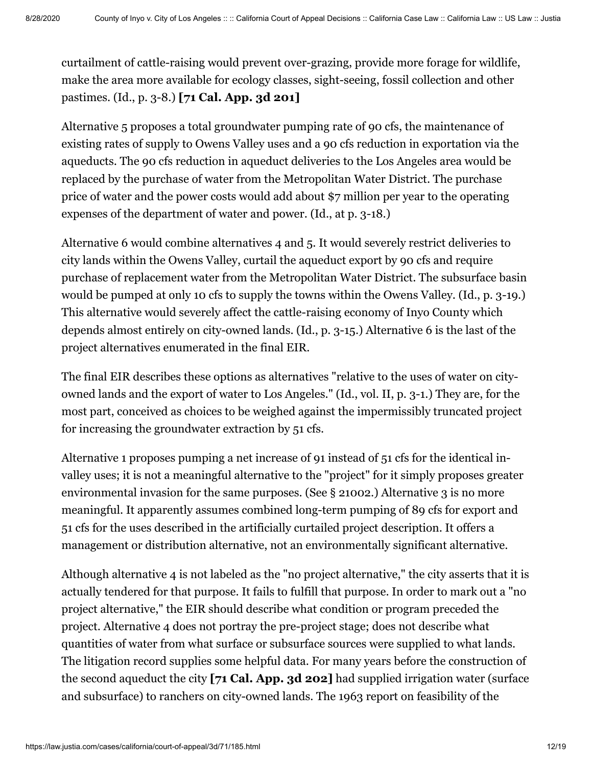curtailment of cattle-raising would prevent over-grazing, provide more forage for wildlife, make the area more available for ecology classes, sight-seeing, fossil collection and other pastimes. (Id., p. 3-8.) **[71 Cal. App. 3d 201]**

Alternative 5 proposes a total groundwater pumping rate of 90 cfs, the maintenance of existing rates of supply to Owens Valley uses and a 90 cfs reduction in exportation via the aqueducts. The 90 cfs reduction in aqueduct deliveries to the Los Angeles area would be replaced by the purchase of water from the Metropolitan Water District. The purchase price of water and the power costs would add about \$7 million per year to the operating expenses of the department of water and power. (Id., at p. 3-18.)

Alternative 6 would combine alternatives 4 and 5. It would severely restrict deliveries to city lands within the Owens Valley, curtail the aqueduct export by 90 cfs and require purchase of replacement water from the Metropolitan Water District. The subsurface basin would be pumped at only 10 cfs to supply the towns within the Owens Valley. (Id., p. 3-19.) This alternative would severely affect the cattle-raising economy of Inyo County which depends almost entirely on city-owned lands. (Id., p. 3-15.) Alternative 6 is the last of the project alternatives enumerated in the final EIR.

The final EIR describes these options as alternatives "relative to the uses of water on cityowned lands and the export of water to Los Angeles." (Id., vol. II, p. 3-1.) They are, for the most part, conceived as choices to be weighed against the impermissibly truncated project for increasing the groundwater extraction by 51 cfs.

Alternative 1 proposes pumping a net increase of 91 instead of 51 cfs for the identical invalley uses; it is not a meaningful alternative to the "project" for it simply proposes greater environmental invasion for the same purposes. (See  $\S$  21002.) Alternative 3 is no more meaningful. It apparently assumes combined long-term pumping of 89 cfs for export and 51 cfs for the uses described in the artificially curtailed project description. It offers a management or distribution alternative, not an environmentally significant alternative.

Although alternative 4 is not labeled as the "no project alternative," the city asserts that it is actually tendered for that purpose. It fails to fulfill that purpose. In order to mark out a "no project alternative," the EIR should describe what condition or program preceded the project. Alternative 4 does not portray the pre-project stage; does not describe what quantities of water from what surface or subsurface sources were supplied to what lands. The litigation record supplies some helpful data. For many years before the construction of the second aqueduct the city **[71 Cal. App. 3d 202]** had supplied irrigation water (surface and subsurface) to ranchers on city-owned lands. The 1963 report on feasibility of the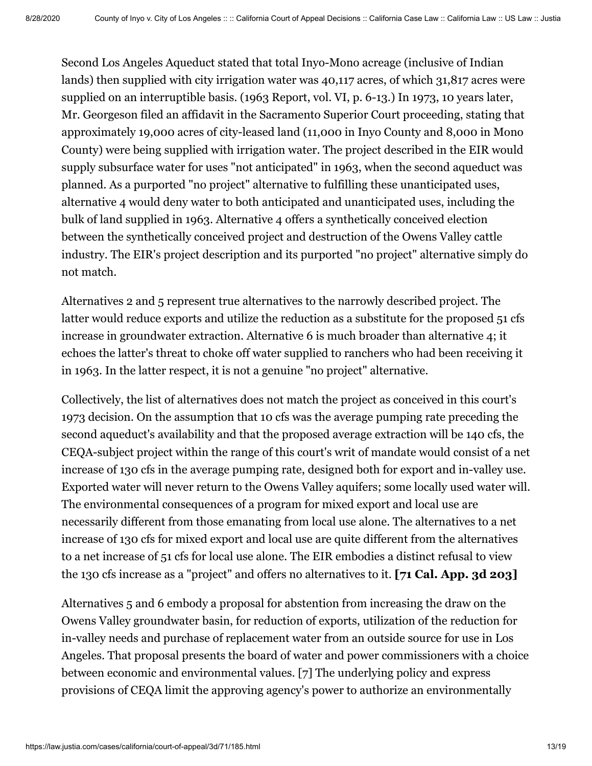Second Los Angeles Aqueduct stated that total Inyo-Mono acreage (inclusive of Indian lands) then supplied with city irrigation water was 40,117 acres, of which 31,817 acres were supplied on an interruptible basis. (1963 Report, vol. VI, p. 6-13.) In 1973, 10 years later, Mr. Georgeson filed an affidavit in the Sacramento Superior Court proceeding, stating that approximately 19,000 acres of city-leased land (11,000 in Inyo County and 8,000 in Mono County) were being supplied with irrigation water. The project described in the EIR would supply subsurface water for uses "not anticipated" in 1963, when the second aqueduct was planned. As a purported "no project" alternative to fulfilling these unanticipated uses, alternative 4 would deny water to both anticipated and unanticipated uses, including the bulk of land supplied in 1963. Alternative 4 offers a synthetically conceived election between the synthetically conceived project and destruction of the Owens Valley cattle industry. The EIR's project description and its purported "no project" alternative simply do not match.

Alternatives 2 and 5 represent true alternatives to the narrowly described project. The latter would reduce exports and utilize the reduction as a substitute for the proposed 51 cfs increase in groundwater extraction. Alternative 6 is much broader than alternative 4; it echoes the latter's threat to choke off water supplied to ranchers who had been receiving it in 1963. In the latter respect, it is not a genuine "no project" alternative.

Collectively, the list of alternatives does not match the project as conceived in this court's 1973 decision. On the assumption that 10 cfs was the average pumping rate preceding the second aqueduct's availability and that the proposed average extraction will be 140 cfs, the CEQA-subject project within the range of this court's writ of mandate would consist of a net increase of 130 cfs in the average pumping rate, designed both for export and in-valley use. Exported water will never return to the Owens Valley aquifers; some locally used water will. The environmental consequences of a program for mixed export and local use are necessarily different from those emanating from local use alone. The alternatives to a net increase of 130 cfs for mixed export and local use are quite different from the alternatives to a net increase of 51 cfs for local use alone. The EIR embodies a distinct refusal to view the 130 cfs increase as a "project" and offers no alternatives to it. **[71 Cal. App. 3d 203]**

Alternatives 5 and 6 embody a proposal for abstention from increasing the draw on the Owens Valley groundwater basin, for reduction of exports, utilization of the reduction for in-valley needs and purchase of replacement water from an outside source for use in Los Angeles. That proposal presents the board of water and power commissioners with a choice between economic and environmental values. [7] The underlying policy and express provisions of CEQA limit the approving agency's power to authorize an environmentally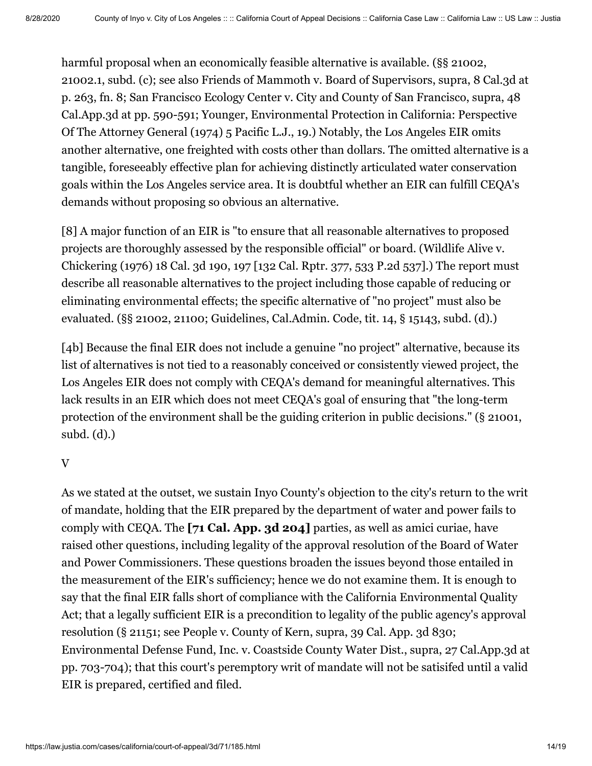harmful proposal when an economically feasible alternative is available. (§§ 21002, 21002.1, subd. (c); see also Friends of Mammoth v. Board of Supervisors, supra, 8 Cal.3d at p. 263, fn. 8; San Francisco Ecology Center v. City and County of San Francisco, supra, 48 Cal.App.3d at pp. 590-591; Younger, Environmental Protection in California: Perspective Of The Attorney General (1974) 5 Pacific L.J., 19.) Notably, the Los Angeles EIR omits another alternative, one freighted with costs other than dollars. The omitted alternative is a tangible, foreseeably effective plan for achieving distinctly articulated water conservation goals within the Los Angeles service area. It is doubtful whether an EIR can fulfill CEQA's demands without proposing so obvious an alternative.

[8] A major function of an EIR is "to ensure that all reasonable alternatives to proposed projects are thoroughly assessed by the responsible official" or board. (Wildlife Alive v. Chickering (1976) [18 Cal. 3d 190,](https://law.justia.com/cases/california/supreme-court/3d/18/190.html) 197 [132 Cal. Rptr. 377, [533 P.2d 537\]](https://law.justia.com/cases/arizona/supreme-court/1975/11702-0.html).) The report must describe all reasonable alternatives to the project including those capable of reducing or eliminating environmental effects; the specific alternative of "no project" must also be evaluated. (§§ 21002, 21100; Guidelines, Cal.Admin. Code, tit. 14, § 15143, subd. (d).)

[4b] Because the final EIR does not include a genuine "no project" alternative, because its list of alternatives is not tied to a reasonably conceived or consistently viewed project, the Los Angeles EIR does not comply with CEQA's demand for meaningful alternatives. This lack results in an EIR which does not meet CEQA's goal of ensuring that "the long-term protection of the environment shall be the guiding criterion in public decisions." (§ 21001, subd. (d).)

#### V

As we stated at the outset, we sustain Inyo County's objection to the city's return to the writ of mandate, holding that the EIR prepared by the department of water and power fails to comply with CEQA. The **[71 Cal. App. 3d 204]** parties, as well as amici curiae, have raised other questions, including legality of the approval resolution of the Board of Water and Power Commissioners. These questions broaden the issues beyond those entailed in the measurement of the EIR's sufficiency; hence we do not examine them. It is enough to say that the final EIR falls short of compliance with the California Environmental Quality Act; that a legally sufficient EIR is a precondition to legality of the public agency's approval resolution (§ 21151; see People v. County of Kern, supra, [39 Cal. App. 3d 830](https://law.justia.com/cases/california/court-of-appeal/3d/39/830.html); Environmental Defense Fund, Inc. v. Coastside County Water Dist., supra, 27 Cal.App.3d at pp. 703-704); that this court's peremptory writ of mandate will not be satisifed until a valid EIR is prepared, certified and filed.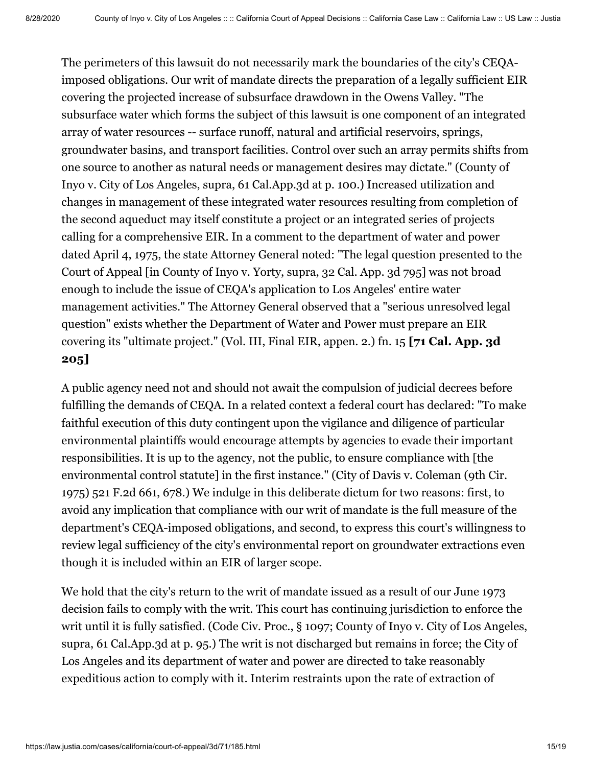The perimeters of this lawsuit do not necessarily mark the boundaries of the city's CEQAimposed obligations. Our writ of mandate directs the preparation of a legally sufficient EIR covering the projected increase of subsurface drawdown in the Owens Valley. "The subsurface water which forms the subject of this lawsuit is one component of an integrated array of water resources -- surface runoff, natural and artificial reservoirs, springs, groundwater basins, and transport facilities. Control over such an array permits shifts from one source to another as natural needs or management desires may dictate." (County of Inyo v. City of Los Angeles, supra, 61 Cal.App.3d at p. 100.) Increased utilization and changes in management of these integrated water resources resulting from completion of the second aqueduct may itself constitute a project or an integrated series of projects calling for a comprehensive EIR. In a comment to the department of water and power dated April 4, 1975, the state Attorney General noted: "The legal question presented to the Court of Appeal [in County of Inyo v. Yorty, supra, [32 Cal. App. 3d 795\]](https://law.justia.com/cases/california/court-of-appeal/3d/32/795.html) was not broad enough to include the issue of CEQA's application to Los Angeles' entire water management activities." The Attorney General observed that a "serious unresolved legal question" exists whether the Department of Water and Power must prepare an EIR covering its "ultimate project." (Vol. III, Final EIR, appen. 2.) fn. 15 **[71 Cal. App. 3d 205]**

A public agency need not and should not await the compulsion of judicial decrees before fulfilling the demands of CEQA. In a related context a federal court has declared: "To make faithful execution of this duty contingent upon the vigilance and diligence of particular environmental plaintiffs would encourage attempts by agencies to evade their important responsibilities. It is up to the agency, not the public, to ensure compliance with [the environmental control statute] in the first instance." (City of Davis v. Coleman (9th Cir. 1975) 521 F.2d 661, 678.) We indulge in this deliberate dictum for two reasons: first, to avoid any implication that compliance with our writ of mandate is the full measure of the department's CEQA-imposed obligations, and second, to express this court's willingness to review legal sufficiency of the city's environmental report on groundwater extractions even though it is included within an EIR of larger scope.

We hold that the city's return to the writ of mandate issued as a result of our June 1973 decision fails to comply with the writ. This court has continuing jurisdiction to enforce the writ until it is fully satisfied. (Code Civ. Proc., § 1097; County of Inyo v. City of Los Angeles, supra, 61 Cal.App.3d at p. 95.) The writ is not discharged but remains in force; the City of Los Angeles and its department of water and power are directed to take reasonably expeditious action to comply with it. Interim restraints upon the rate of extraction of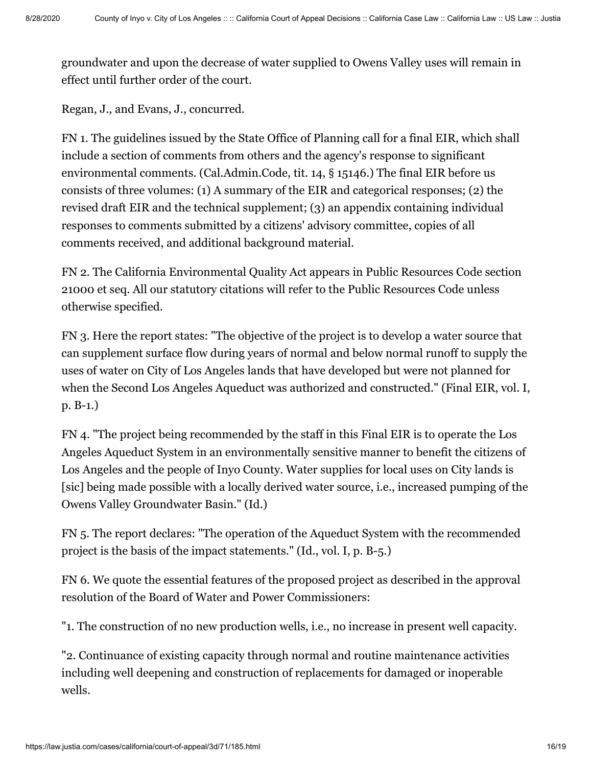groundwater and upon the decrease of water supplied to Owens Valley uses will remain in effect until further order of the court.

Regan, J., and Evans, J., concurred.

FN 1. The guidelines issued by the State Office of Planning call for a final EIR, which shall include a section of comments from others and the agency's response to significant environmental comments. (Cal.Admin.Code, tit. 14, § 15146.) The final EIR before us consists of three volumes: (1) A summary of the EIR and categorical responses; (2) the revised draft EIR and the technical supplement; (3) an appendix containing individual responses to comments submitted by a citizens' advisory committee, copies of all comments received, and additional background material.

FN 2. The California Environmental Quality Act appears in Public Resources Code section 21000 et seq. All our statutory citations will refer to the Public Resources Code unless otherwise specified.

FN 3. Here the report states: "The objective of the project is to develop a water source that can supplement surface flow during years of normal and below normal runoff to supply the uses of water on City of Los Angeles lands that have developed but were not planned for when the Second Los Angeles Aqueduct was authorized and constructed." (Final EIR, vol. I, p. B-1.)

FN 4. "The project being recommended by the staff in this Final EIR is to operate the Los Angeles Aqueduct System in an environmentally sensitive manner to benefit the citizens of Los Angeles and the people of Inyo County. Water supplies for local uses on City lands is [sic] being made possible with a locally derived water source, i.e., increased pumping of the Owens Valley Groundwater Basin." (Id.)

FN 5. The report declares: "The operation of the Aqueduct System with the recommended project is the basis of the impact statements." (Id., vol. I, p. B-5.)

FN 6. We quote the essential features of the proposed project as described in the approval resolution of the Board of Water and Power Commissioners:

"1. The construction of no new production wells, i.e., no increase in present well capacity.

"2. Continuance of existing capacity through normal and routine maintenance activities including well deepening and construction of replacements for damaged or inoperable wells.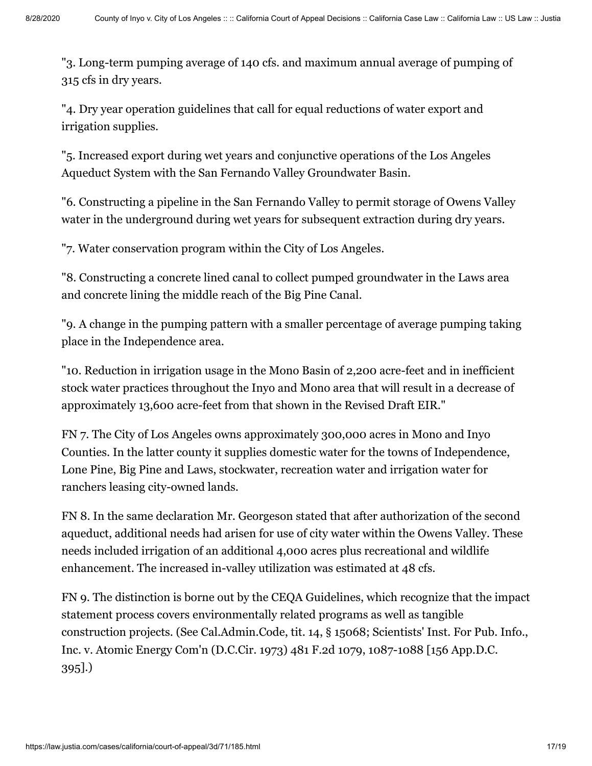"3. Long-term pumping average of 140 cfs. and maximum annual average of pumping of 315 cfs in dry years.

"4. Dry year operation guidelines that call for equal reductions of water export and irrigation supplies.

"5. Increased export during wet years and conjunctive operations of the Los Angeles Aqueduct System with the San Fernando Valley Groundwater Basin.

"6. Constructing a pipeline in the San Fernando Valley to permit storage of Owens Valley water in the underground during wet years for subsequent extraction during dry years.

"7. Water conservation program within the City of Los Angeles.

"8. Constructing a concrete lined canal to collect pumped groundwater in the Laws area and concrete lining the middle reach of the Big Pine Canal.

"9. A change in the pumping pattern with a smaller percentage of average pumping taking place in the Independence area.

"10. Reduction in irrigation usage in the Mono Basin of 2,200 acre-feet and in inefficient stock water practices throughout the Inyo and Mono area that will result in a decrease of approximately 13,600 acre-feet from that shown in the Revised Draft EIR."

FN 7. The City of Los Angeles owns approximately 300,000 acres in Mono and Inyo Counties. In the latter county it supplies domestic water for the towns of Independence, Lone Pine, Big Pine and Laws, stockwater, recreation water and irrigation water for ranchers leasing city-owned lands.

FN 8. In the same declaration Mr. Georgeson stated that after authorization of the second aqueduct, additional needs had arisen for use of city water within the Owens Valley. These needs included irrigation of an additional 4,000 acres plus recreational and wildlife enhancement. The increased in-valley utilization was estimated at 48 cfs.

FN 9. The distinction is borne out by the CEQA Guidelines, which recognize that the impact statement process covers environmentally related programs as well as tangible construction projects. (See Cal.Admin.Code, tit. 14, § 15068; Scientists' Inst. For Pub. Info., Inc. v. Atomic Energy Com'n (D.C.Cir. 1973) 481 F.2d 1079, 1087-1088 [156 App.D.C. 395].)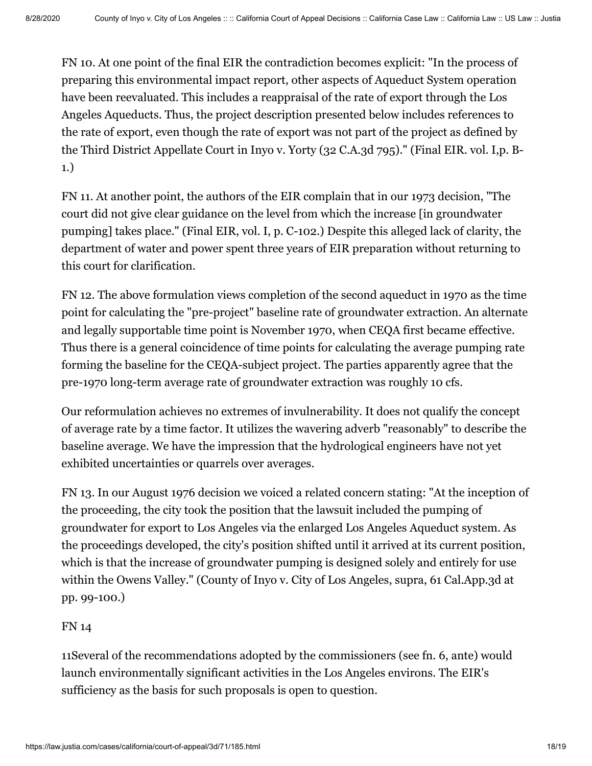FN 10. At one point of the final EIR the contradiction becomes explicit: "In the process of preparing this environmental impact report, other aspects of Aqueduct System operation have been reevaluated. This includes a reappraisal of the rate of export through the Los Angeles Aqueducts. Thus, the project description presented below includes references to the rate of export, even though the rate of export was not part of the project as defined by the Third District Appellate Court in Inyo v. Yorty (32 C.A.3d 795)." (Final EIR. vol. I,p. B-1.)

FN 11. At another point, the authors of the EIR complain that in our 1973 decision, "The court did not give clear guidance on the level from which the increase [in groundwater pumping] takes place." (Final EIR, vol. I, p. C-102.) Despite this alleged lack of clarity, the department of water and power spent three years of EIR preparation without returning to this court for clarification.

FN 12. The above formulation views completion of the second aqueduct in 1970 as the time point for calculating the "pre-project" baseline rate of groundwater extraction. An alternate and legally supportable time point is November 1970, when CEQA first became effective. Thus there is a general coincidence of time points for calculating the average pumping rate forming the baseline for the CEQA-subject project. The parties apparently agree that the pre-1970 long-term average rate of groundwater extraction was roughly 10 cfs.

Our reformulation achieves no extremes of invulnerability. It does not qualify the concept of average rate by a time factor. It utilizes the wavering adverb "reasonably" to describe the baseline average. We have the impression that the hydrological engineers have not yet exhibited uncertainties or quarrels over averages.

FN 13. In our August 1976 decision we voiced a related concern stating: "At the inception of the proceeding, the city took the position that the lawsuit included the pumping of groundwater for export to Los Angeles via the enlarged Los Angeles Aqueduct system. As the proceedings developed, the city's position shifted until it arrived at its current position, which is that the increase of groundwater pumping is designed solely and entirely for use within the Owens Valley." (County of Inyo v. City of Los Angeles, supra, 61 Cal.App.3d at pp. 99-100.)

## FN 14

11Several of the recommendations adopted by the commissioners (see fn. 6, ante) would launch environmentally significant activities in the Los Angeles environs. The EIR's sufficiency as the basis for such proposals is open to question.